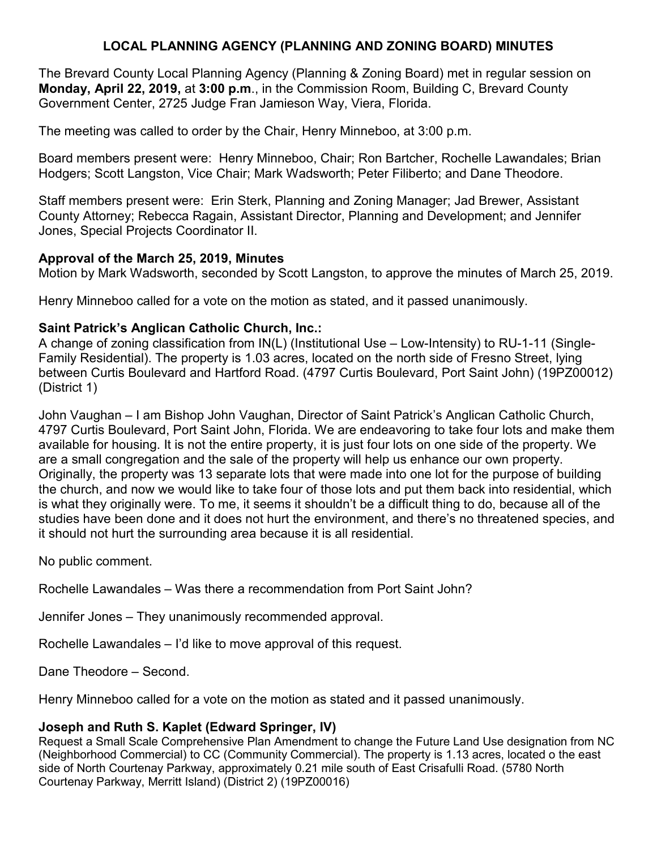# **LOCAL PLANNING AGENCY (PLANNING AND ZONING BOARD) MINUTES**

The Brevard County Local Planning Agency (Planning & Zoning Board) met in regular session on **Monday, April 22, 2019,** at **3:00 p.m**., in the Commission Room, Building C, Brevard County Government Center, 2725 Judge Fran Jamieson Way, Viera, Florida.

The meeting was called to order by the Chair, Henry Minneboo, at 3:00 p.m.

Board members present were: Henry Minneboo, Chair; Ron Bartcher, Rochelle Lawandales; Brian Hodgers; Scott Langston, Vice Chair; Mark Wadsworth; Peter Filiberto; and Dane Theodore.

Staff members present were: Erin Sterk, Planning and Zoning Manager; Jad Brewer, Assistant County Attorney; Rebecca Ragain, Assistant Director, Planning and Development; and Jennifer Jones, Special Projects Coordinator II.

### **Approval of the March 25, 2019, Minutes**

Motion by Mark Wadsworth, seconded by Scott Langston, to approve the minutes of March 25, 2019.

Henry Minneboo called for a vote on the motion as stated, and it passed unanimously.

### **Saint Patrick's Anglican Catholic Church, Inc.:**

A change of zoning classification from IN(L) (Institutional Use – Low-Intensity) to RU-1-11 (Single-Family Residential). The property is 1.03 acres, located on the north side of Fresno Street, lying between Curtis Boulevard and Hartford Road. (4797 Curtis Boulevard, Port Saint John) (19PZ00012) (District 1)

John Vaughan – I am Bishop John Vaughan, Director of Saint Patrick's Anglican Catholic Church, 4797 Curtis Boulevard, Port Saint John, Florida. We are endeavoring to take four lots and make them available for housing. It is not the entire property, it is just four lots on one side of the property. We are a small congregation and the sale of the property will help us enhance our own property. Originally, the property was 13 separate lots that were made into one lot for the purpose of building the church, and now we would like to take four of those lots and put them back into residential, which is what they originally were. To me, it seems it shouldn't be a difficult thing to do, because all of the studies have been done and it does not hurt the environment, and there's no threatened species, and it should not hurt the surrounding area because it is all residential.

No public comment.

Rochelle Lawandales – Was there a recommendation from Port Saint John?

Jennifer Jones – They unanimously recommended approval.

Rochelle Lawandales – I'd like to move approval of this request.

Dane Theodore – Second.

Henry Minneboo called for a vote on the motion as stated and it passed unanimously.

## **Joseph and Ruth S. Kaplet (Edward Springer, IV)**

Request a Small Scale Comprehensive Plan Amendment to change the Future Land Use designation from NC (Neighborhood Commercial) to CC (Community Commercial). The property is 1.13 acres, located o the east side of North Courtenay Parkway, approximately 0.21 mile south of East Crisafulli Road. (5780 North Courtenay Parkway, Merritt Island) (District 2) (19PZ00016)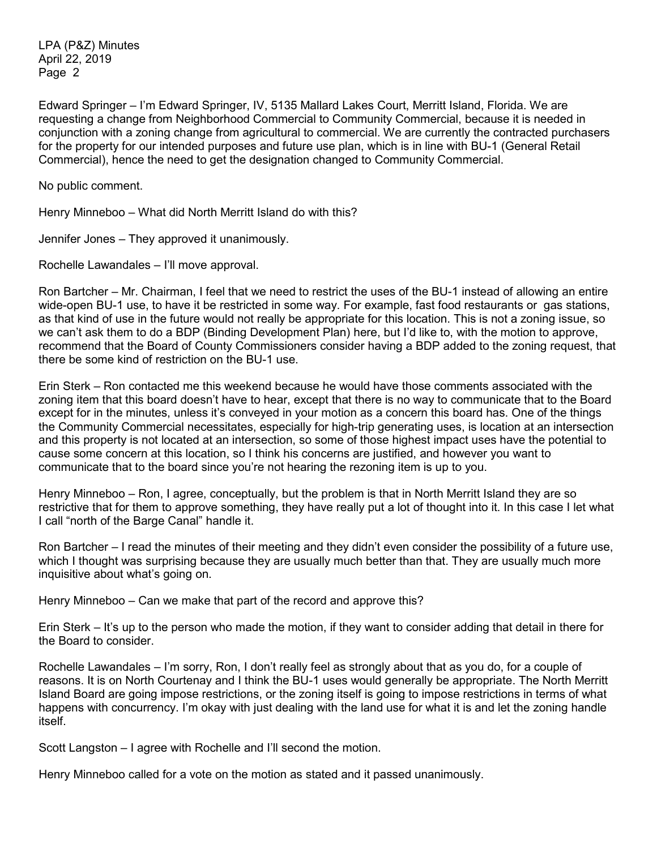LPA (P&Z) Minutes April 22, 2019 Page 2

Edward Springer – I'm Edward Springer, IV, 5135 Mallard Lakes Court, Merritt Island, Florida. We are requesting a change from Neighborhood Commercial to Community Commercial, because it is needed in conjunction with a zoning change from agricultural to commercial. We are currently the contracted purchasers for the property for our intended purposes and future use plan, which is in line with BU-1 (General Retail Commercial), hence the need to get the designation changed to Community Commercial.

No public comment.

Henry Minneboo – What did North Merritt Island do with this?

Jennifer Jones – They approved it unanimously.

Rochelle Lawandales – I'll move approval.

Ron Bartcher – Mr. Chairman, I feel that we need to restrict the uses of the BU-1 instead of allowing an entire wide-open BU-1 use, to have it be restricted in some way. For example, fast food restaurants or gas stations, as that kind of use in the future would not really be appropriate for this location. This is not a zoning issue, so we can't ask them to do a BDP (Binding Development Plan) here, but I'd like to, with the motion to approve, recommend that the Board of County Commissioners consider having a BDP added to the zoning request, that there be some kind of restriction on the BU-1 use.

Erin Sterk – Ron contacted me this weekend because he would have those comments associated with the zoning item that this board doesn't have to hear, except that there is no way to communicate that to the Board except for in the minutes, unless it's conveyed in your motion as a concern this board has. One of the things the Community Commercial necessitates, especially for high-trip generating uses, is location at an intersection and this property is not located at an intersection, so some of those highest impact uses have the potential to cause some concern at this location, so I think his concerns are justified, and however you want to communicate that to the board since you're not hearing the rezoning item is up to you.

Henry Minneboo – Ron, I agree, conceptually, but the problem is that in North Merritt Island they are so restrictive that for them to approve something, they have really put a lot of thought into it. In this case I let what I call "north of the Barge Canal" handle it.

Ron Bartcher – I read the minutes of their meeting and they didn't even consider the possibility of a future use, which I thought was surprising because they are usually much better than that. They are usually much more inquisitive about what's going on.

Henry Minneboo – Can we make that part of the record and approve this?

Erin Sterk – It's up to the person who made the motion, if they want to consider adding that detail in there for the Board to consider.

Rochelle Lawandales – I'm sorry, Ron, I don't really feel as strongly about that as you do, for a couple of reasons. It is on North Courtenay and I think the BU-1 uses would generally be appropriate. The North Merritt Island Board are going impose restrictions, or the zoning itself is going to impose restrictions in terms of what happens with concurrency. I'm okay with just dealing with the land use for what it is and let the zoning handle itself.

Scott Langston – I agree with Rochelle and I'll second the motion.

Henry Minneboo called for a vote on the motion as stated and it passed unanimously.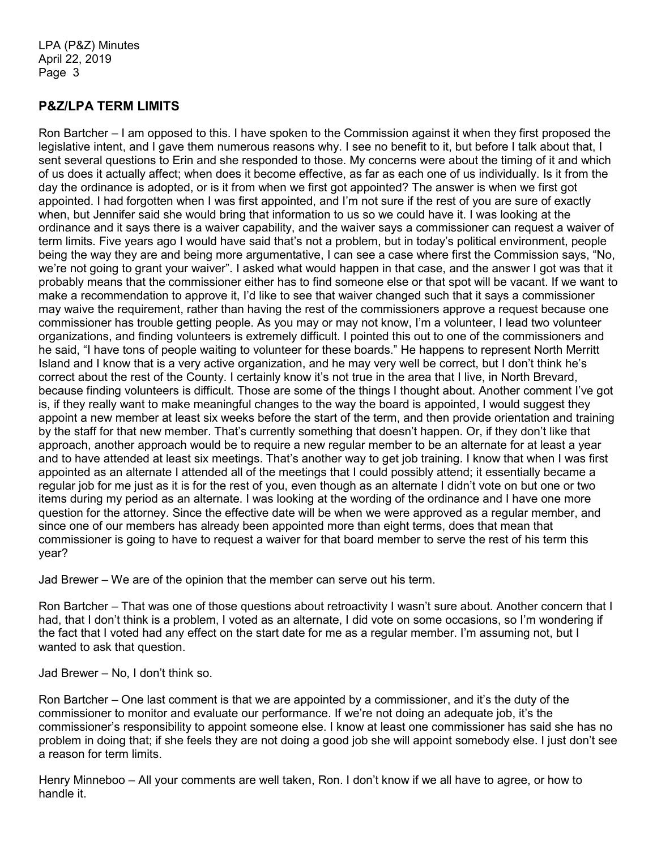# **P&Z/LPA TERM LIMITS**

Ron Bartcher – I am opposed to this. I have spoken to the Commission against it when they first proposed the legislative intent, and I gave them numerous reasons why. I see no benefit to it, but before I talk about that, I sent several questions to Erin and she responded to those. My concerns were about the timing of it and which of us does it actually affect; when does it become effective, as far as each one of us individually. Is it from the day the ordinance is adopted, or is it from when we first got appointed? The answer is when we first got appointed. I had forgotten when I was first appointed, and I'm not sure if the rest of you are sure of exactly when, but Jennifer said she would bring that information to us so we could have it. I was looking at the ordinance and it says there is a waiver capability, and the waiver says a commissioner can request a waiver of term limits. Five years ago I would have said that's not a problem, but in today's political environment, people being the way they are and being more argumentative, I can see a case where first the Commission says, "No, we're not going to grant your waiver". I asked what would happen in that case, and the answer I got was that it probably means that the commissioner either has to find someone else or that spot will be vacant. If we want to make a recommendation to approve it, I'd like to see that waiver changed such that it says a commissioner may waive the requirement, rather than having the rest of the commissioners approve a request because one commissioner has trouble getting people. As you may or may not know, I'm a volunteer, I lead two volunteer organizations, and finding volunteers is extremely difficult. I pointed this out to one of the commissioners and he said, "I have tons of people waiting to volunteer for these boards." He happens to represent North Merritt Island and I know that is a very active organization, and he may very well be correct, but I don't think he's correct about the rest of the County. I certainly know it's not true in the area that I live, in North Brevard, because finding volunteers is difficult. Those are some of the things I thought about. Another comment I've got is, if they really want to make meaningful changes to the way the board is appointed, I would suggest they appoint a new member at least six weeks before the start of the term, and then provide orientation and training by the staff for that new member. That's currently something that doesn't happen. Or, if they don't like that approach, another approach would be to require a new regular member to be an alternate for at least a year and to have attended at least six meetings. That's another way to get job training. I know that when I was first appointed as an alternate I attended all of the meetings that I could possibly attend; it essentially became a regular job for me just as it is for the rest of you, even though as an alternate I didn't vote on but one or two items during my period as an alternate. I was looking at the wording of the ordinance and I have one more question for the attorney. Since the effective date will be when we were approved as a regular member, and since one of our members has already been appointed more than eight terms, does that mean that commissioner is going to have to request a waiver for that board member to serve the rest of his term this year?

Jad Brewer – We are of the opinion that the member can serve out his term.

Ron Bartcher – That was one of those questions about retroactivity I wasn't sure about. Another concern that I had, that I don't think is a problem, I voted as an alternate, I did vote on some occasions, so I'm wondering if the fact that I voted had any effect on the start date for me as a regular member. I'm assuming not, but I wanted to ask that question.

Jad Brewer – No, I don't think so.

Ron Bartcher – One last comment is that we are appointed by a commissioner, and it's the duty of the commissioner to monitor and evaluate our performance. If we're not doing an adequate job, it's the commissioner's responsibility to appoint someone else. I know at least one commissioner has said she has no problem in doing that; if she feels they are not doing a good job she will appoint somebody else. I just don't see a reason for term limits.

Henry Minneboo – All your comments are well taken, Ron. I don't know if we all have to agree, or how to handle it.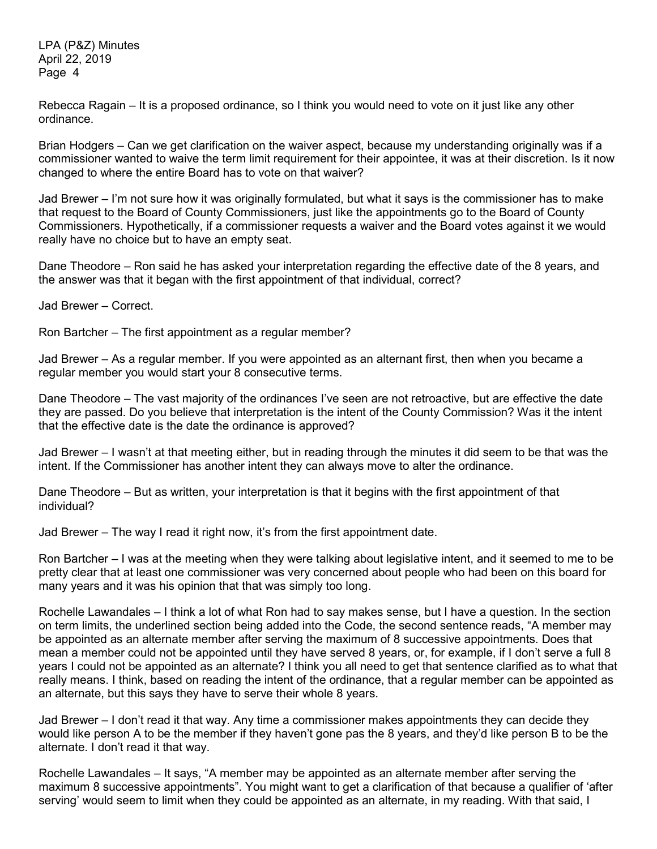LPA (P&Z) Minutes April 22, 2019 Page 4

Rebecca Ragain – It is a proposed ordinance, so I think you would need to vote on it just like any other ordinance.

Brian Hodgers – Can we get clarification on the waiver aspect, because my understanding originally was if a commissioner wanted to waive the term limit requirement for their appointee, it was at their discretion. Is it now changed to where the entire Board has to vote on that waiver?

Jad Brewer – I'm not sure how it was originally formulated, but what it says is the commissioner has to make that request to the Board of County Commissioners, just like the appointments go to the Board of County Commissioners. Hypothetically, if a commissioner requests a waiver and the Board votes against it we would really have no choice but to have an empty seat.

Dane Theodore – Ron said he has asked your interpretation regarding the effective date of the 8 years, and the answer was that it began with the first appointment of that individual, correct?

Jad Brewer – Correct.

Ron Bartcher – The first appointment as a regular member?

Jad Brewer – As a regular member. If you were appointed as an alternant first, then when you became a regular member you would start your 8 consecutive terms.

Dane Theodore – The vast majority of the ordinances I've seen are not retroactive, but are effective the date they are passed. Do you believe that interpretation is the intent of the County Commission? Was it the intent that the effective date is the date the ordinance is approved?

Jad Brewer – I wasn't at that meeting either, but in reading through the minutes it did seem to be that was the intent. If the Commissioner has another intent they can always move to alter the ordinance.

Dane Theodore – But as written, your interpretation is that it begins with the first appointment of that individual?

Jad Brewer – The way I read it right now, it's from the first appointment date.

Ron Bartcher – I was at the meeting when they were talking about legislative intent, and it seemed to me to be pretty clear that at least one commissioner was very concerned about people who had been on this board for many years and it was his opinion that that was simply too long.

Rochelle Lawandales – I think a lot of what Ron had to say makes sense, but I have a question. In the section on term limits, the underlined section being added into the Code, the second sentence reads, "A member may be appointed as an alternate member after serving the maximum of 8 successive appointments. Does that mean a member could not be appointed until they have served 8 years, or, for example, if I don't serve a full 8 years I could not be appointed as an alternate? I think you all need to get that sentence clarified as to what that really means. I think, based on reading the intent of the ordinance, that a regular member can be appointed as an alternate, but this says they have to serve their whole 8 years.

Jad Brewer – I don't read it that way. Any time a commissioner makes appointments they can decide they would like person A to be the member if they haven't gone pas the 8 years, and they'd like person B to be the alternate. I don't read it that way.

Rochelle Lawandales – It says, "A member may be appointed as an alternate member after serving the maximum 8 successive appointments". You might want to get a clarification of that because a qualifier of 'after serving' would seem to limit when they could be appointed as an alternate, in my reading. With that said, I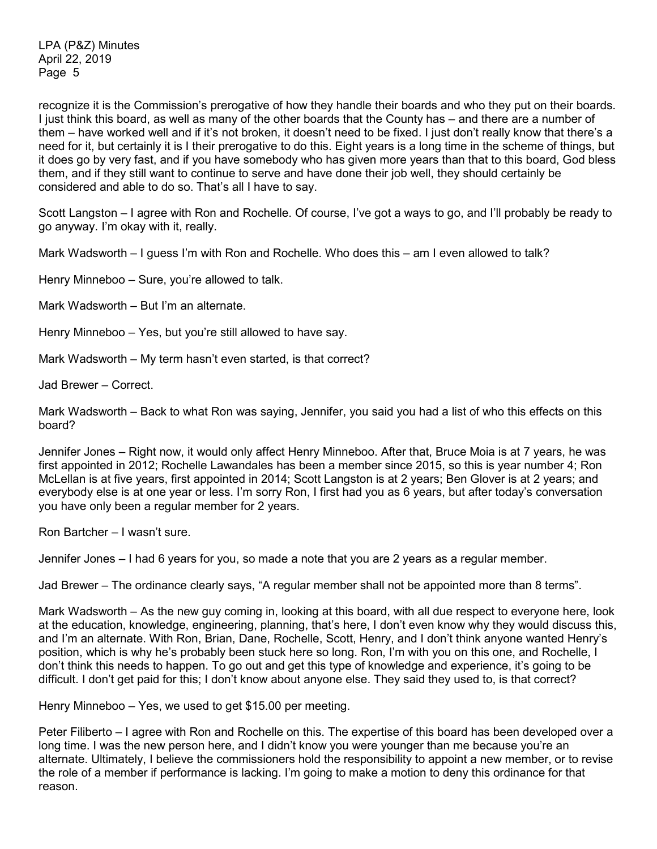recognize it is the Commission's prerogative of how they handle their boards and who they put on their boards. I just think this board, as well as many of the other boards that the County has – and there are a number of them – have worked well and if it's not broken, it doesn't need to be fixed. I just don't really know that there's a need for it, but certainly it is I their prerogative to do this. Eight years is a long time in the scheme of things, but it does go by very fast, and if you have somebody who has given more years than that to this board, God bless them, and if they still want to continue to serve and have done their job well, they should certainly be considered and able to do so. That's all I have to say.

Scott Langston – I agree with Ron and Rochelle. Of course, I've got a ways to go, and I'll probably be ready to go anyway. I'm okay with it, really.

Mark Wadsworth – I guess I'm with Ron and Rochelle. Who does this – am I even allowed to talk?

Henry Minneboo – Sure, you're allowed to talk.

Mark Wadsworth – But I'm an alternate.

Henry Minneboo – Yes, but you're still allowed to have say.

Mark Wadsworth – My term hasn't even started, is that correct?

Jad Brewer – Correct.

Mark Wadsworth – Back to what Ron was saying, Jennifer, you said you had a list of who this effects on this board?

Jennifer Jones – Right now, it would only affect Henry Minneboo. After that, Bruce Moia is at 7 years, he was first appointed in 2012; Rochelle Lawandales has been a member since 2015, so this is year number 4; Ron McLellan is at five years, first appointed in 2014; Scott Langston is at 2 years; Ben Glover is at 2 years; and everybody else is at one year or less. I'm sorry Ron, I first had you as 6 years, but after today's conversation you have only been a regular member for 2 years.

Ron Bartcher – I wasn't sure.

Jennifer Jones – I had 6 years for you, so made a note that you are 2 years as a regular member.

Jad Brewer – The ordinance clearly says, "A regular member shall not be appointed more than 8 terms".

Mark Wadsworth – As the new guy coming in, looking at this board, with all due respect to everyone here, look at the education, knowledge, engineering, planning, that's here, I don't even know why they would discuss this, and I'm an alternate. With Ron, Brian, Dane, Rochelle, Scott, Henry, and I don't think anyone wanted Henry's position, which is why he's probably been stuck here so long. Ron, I'm with you on this one, and Rochelle, I don't think this needs to happen. To go out and get this type of knowledge and experience, it's going to be difficult. I don't get paid for this; I don't know about anyone else. They said they used to, is that correct?

Henry Minneboo – Yes, we used to get \$15.00 per meeting.

Peter Filiberto – I agree with Ron and Rochelle on this. The expertise of this board has been developed over a long time. I was the new person here, and I didn't know you were younger than me because you're an alternate. Ultimately, I believe the commissioners hold the responsibility to appoint a new member, or to revise the role of a member if performance is lacking. I'm going to make a motion to deny this ordinance for that reason.